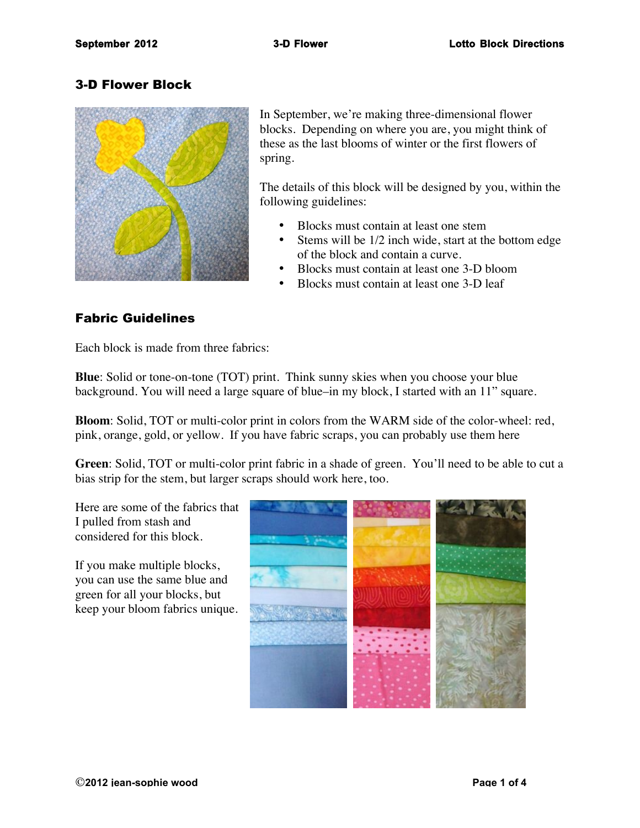# 3-D Flower Block



In September, we're making three-dimensional flower blocks. Depending on where you are, you might think of these as the last blooms of winter or the first flowers of spring.

The details of this block will be designed by you, within the following guidelines:

- Blocks must contain at least one stem
- Stems will be 1/2 inch wide, start at the bottom edge of the block and contain a curve.
- Blocks must contain at least one 3-D bloom
- Blocks must contain at least one 3-D leaf

# Fabric Guidelines

Each block is made from three fabrics:

**Blue**: Solid or tone-on-tone (TOT) print. Think sunny skies when you choose your blue background. You will need a large square of blue–in my block, I started with an 11" square.

**Bloom**: Solid, TOT or multi-color print in colors from the WARM side of the color-wheel: red, pink, orange, gold, or yellow. If you have fabric scraps, you can probably use them here

**Green**: Solid, TOT or multi-color print fabric in a shade of green. You'll need to be able to cut a bias strip for the stem, but larger scraps should work here, too.

Here are some of the fabrics that I pulled from stash and considered for this block.

If you make multiple blocks, you can use the same blue and green for all your blocks, but keep your bloom fabrics unique.

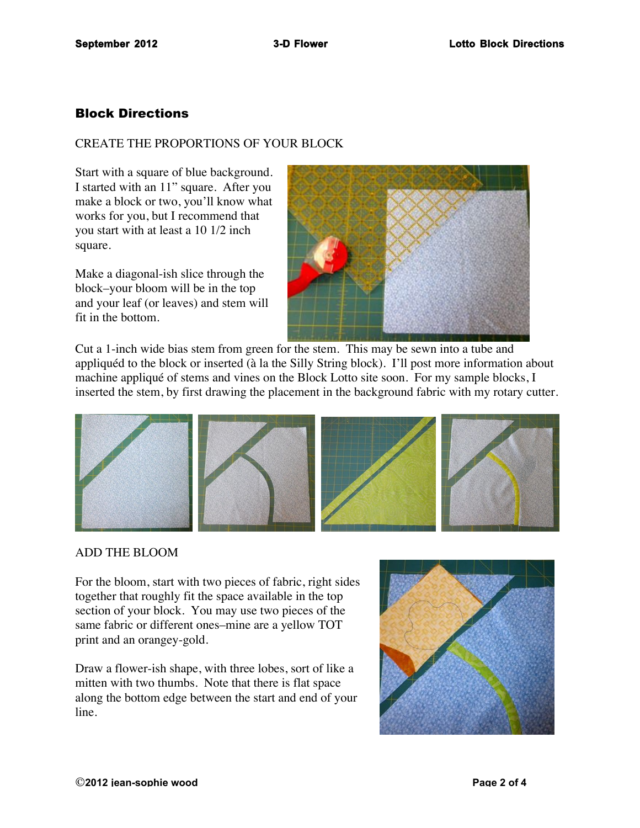# Block Directions

## CREATE THE PROPORTIONS OF YOUR BLOCK

Start with a square of blue background. I started with an 11" square. After you make a block or two, you'll know what works for you, but I recommend that you start with at least a 10 1/2 inch square.

Make a diagonal-ish slice through the block–your bloom will be in the top and your leaf (or leaves) and stem will fit in the bottom.



Cut a 1-inch wide bias stem from green for the stem. This may be sewn into a tube and appliquéd to the block or inserted (à la the Silly String block). I'll post more information about machine appliqué of stems and vines on the Block Lotto site soon. For my sample blocks, I inserted the stem, by first drawing the placement in the background fabric with my rotary cutter.



### ADD THE BLOOM

For the bloom, start with two pieces of fabric, right sides together that roughly fit the space available in the top section of your block. You may use two pieces of the same fabric or different ones–mine are a yellow TOT print and an orangey-gold.

Draw a flower-ish shape, with three lobes, sort of like a mitten with two thumbs. Note that there is flat space along the bottom edge between the start and end of your line.

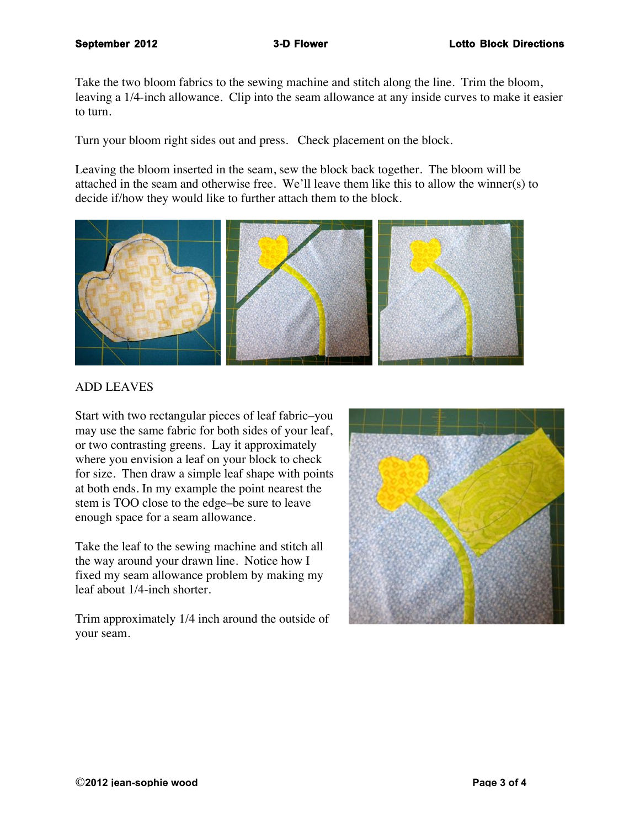Take the two bloom fabrics to the sewing machine and stitch along the line. Trim the bloom, leaving a 1/4-inch allowance. Clip into the seam allowance at any inside curves to make it easier to turn.

Turn your bloom right sides out and press. Check placement on the block.

Leaving the bloom inserted in the seam, sew the block back together. The bloom will be attached in the seam and otherwise free. We'll leave them like this to allow the winner(s) to decide if/how they would like to further attach them to the block.



### ADD LEAVES

Start with two rectangular pieces of leaf fabric–you may use the same fabric for both sides of your leaf, or two contrasting greens. Lay it approximately where you envision a leaf on your block to check for size. Then draw a simple leaf shape with points at both ends. In my example the point nearest the stem is TOO close to the edge–be sure to leave enough space for a seam allowance.

Take the leaf to the sewing machine and stitch all the way around your drawn line. Notice how I fixed my seam allowance problem by making my leaf about 1/4-inch shorter.

Trim approximately 1/4 inch around the outside of your seam.